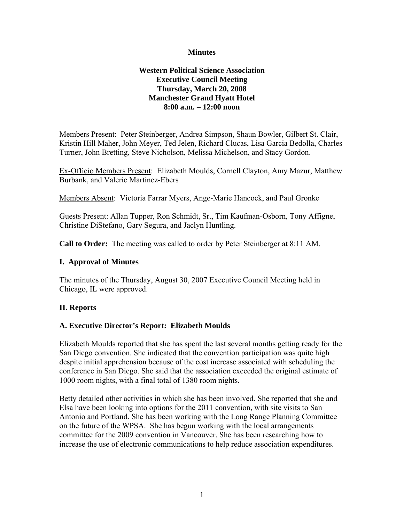#### **Minutes**

#### **Western Political Science Association Executive Council Meeting Thursday, March 20, 2008 Manchester Grand Hyatt Hotel 8:00 a.m. – 12:00 noon**

Members Present: Peter Steinberger, Andrea Simpson, Shaun Bowler, Gilbert St. Clair, Kristin Hill Maher, John Meyer, Ted Jelen, Richard Clucas, Lisa Garcia Bedolla, Charles Turner, John Bretting, Steve Nicholson, Melissa Michelson, and Stacy Gordon.

Ex-Officio Members Present: Elizabeth Moulds, Cornell Clayton, Amy Mazur, Matthew Burbank, and Valerie Martinez-Ebers

Members Absent: Victoria Farrar Myers, Ange-Marie Hancock, and Paul Gronke

Guests Present: Allan Tupper, Ron Schmidt, Sr., Tim Kaufman-Osborn, Tony Affigne, Christine DiStefano, Gary Segura, and Jaclyn Huntling.

**Call to Order:** The meeting was called to order by Peter Steinberger at 8:11 AM.

#### **I. Approval of Minutes**

The minutes of the Thursday, August 30, 2007 Executive Council Meeting held in Chicago, IL were approved.

## **II. Reports**

#### **A. Executive Director's Report: Elizabeth Moulds**

Elizabeth Moulds reported that she has spent the last several months getting ready for the San Diego convention. She indicated that the convention participation was quite high despite initial apprehension because of the cost increase associated with scheduling the conference in San Diego. She said that the association exceeded the original estimate of 1000 room nights, with a final total of 1380 room nights.

Betty detailed other activities in which she has been involved. She reported that she and Elsa have been looking into options for the 2011 convention, with site visits to San Antonio and Portland. She has been working with the Long Range Planning Committee on the future of the WPSA. She has begun working with the local arrangements committee for the 2009 convention in Vancouver. She has been researching how to increase the use of electronic communications to help reduce association expenditures.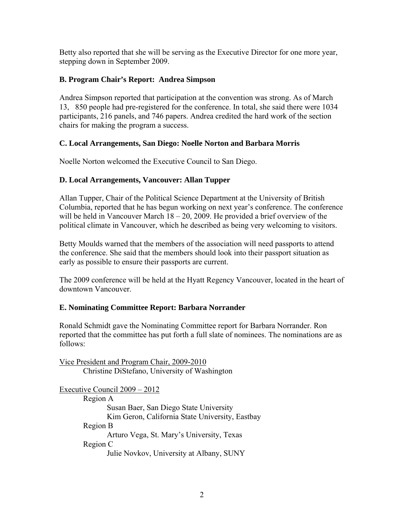Betty also reported that she will be serving as the Executive Director for one more year, stepping down in September 2009.

# **B. Program Chair's Report: Andrea Simpson**

Andrea Simpson reported that participation at the convention was strong. As of March 13, 850 people had pre-registered for the conference. In total, she said there were 1034 participants, 216 panels, and 746 papers. Andrea credited the hard work of the section chairs for making the program a success.

## **C. Local Arrangements, San Diego: Noelle Norton and Barbara Morris**

Noelle Norton welcomed the Executive Council to San Diego.

# **D. Local Arrangements, Vancouver: Allan Tupper**

Allan Tupper, Chair of the Political Science Department at the University of British Columbia, reported that he has begun working on next year's conference. The conference will be held in Vancouver March 18 – 20, 2009. He provided a brief overview of the political climate in Vancouver, which he described as being very welcoming to visitors.

Betty Moulds warned that the members of the association will need passports to attend the conference. She said that the members should look into their passport situation as early as possible to ensure their passports are current.

The 2009 conference will be held at the Hyatt Regency Vancouver, located in the heart of downtown Vancouver.

## **E. Nominating Committee Report: Barbara Norrander**

Ronald Schmidt gave the Nominating Committee report for Barbara Norrander. Ron reported that the committee has put forth a full slate of nominees. The nominations are as follows:

Vice President and Program Chair, 2009-2010 Christine DiStefano, University of Washington Executive Council 2009 – 2012 Region A Susan Baer, San Diego State University Kim Geron, California State University, Eastbay Region B Arturo Vega, St. Mary's University, Texas Region C Julie Novkov, University at Albany, SUNY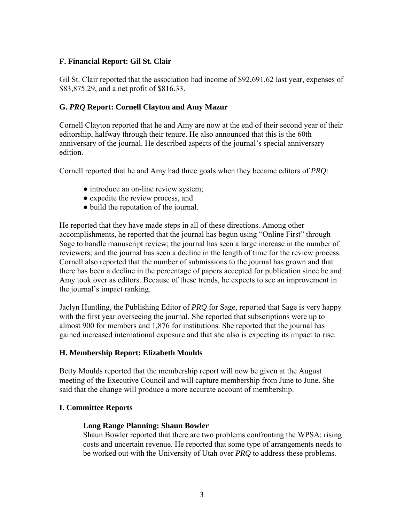#### **F. Financial Report: Gil St. Clair**

Gil St. Clair reported that the association had income of \$92,691.62 last year, expenses of \$83,875.29, and a net profit of \$816.33.

#### **G.** *PRQ* **Report: Cornell Clayton and Amy Mazur**

Cornell Clayton reported that he and Amy are now at the end of their second year of their editorship, halfway through their tenure. He also announced that this is the 60th anniversary of the journal. He described aspects of the journal's special anniversary edition.

Cornell reported that he and Amy had three goals when they became editors of *PRQ*:

- introduce an on-line review system;
- expedite the review process, and
- build the reputation of the journal.

He reported that they have made steps in all of these directions. Among other accomplishments, he reported that the journal has begun using "Online First" through Sage to handle manuscript review; the journal has seen a large increase in the number of reviewers; and the journal has seen a decline in the length of time for the review process. Cornell also reported that the number of submissions to the journal has grown and that there has been a decline in the percentage of papers accepted for publication since he and Amy took over as editors. Because of these trends, he expects to see an improvement in the journal's impact ranking.

Jaclyn Huntling, the Publishing Editor of *PRQ* for Sage, reported that Sage is very happy with the first year overseeing the journal. She reported that subscriptions were up to almost 900 for members and 1,876 for institutions. She reported that the journal has gained increased international exposure and that she also is expecting its impact to rise.

#### **H. Membership Report: Elizabeth Moulds**

Betty Moulds reported that the membership report will now be given at the August meeting of the Executive Council and will capture membership from June to June. She said that the change will produce a more accurate account of membership.

#### **I. Committee Reports**

#### **Long Range Planning: Shaun Bowler**

Shaun Bowler reported that there are two problems confronting the WPSA: rising costs and uncertain revenue. He reported that some type of arrangements needs to be worked out with the University of Utah over *PRQ* to address these problems.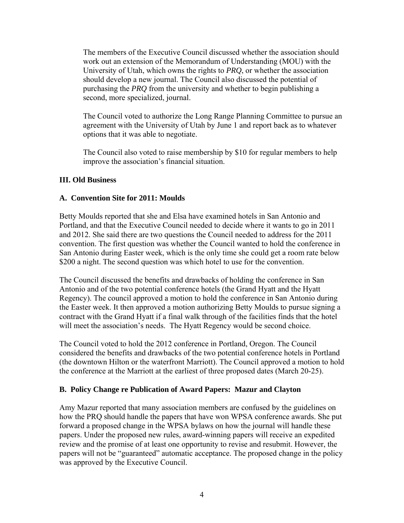The members of the Executive Council discussed whether the association should work out an extension of the Memorandum of Understanding (MOU) with the University of Utah, which owns the rights to *PRQ*, or whether the association should develop a new journal. The Council also discussed the potential of purchasing the *PRQ* from the university and whether to begin publishing a second, more specialized, journal.

The Council voted to authorize the Long Range Planning Committee to pursue an agreement with the University of Utah by June 1 and report back as to whatever options that it was able to negotiate.

The Council also voted to raise membership by \$10 for regular members to help improve the association's financial situation.

## **III. Old Business**

#### **A. Convention Site for 2011: Moulds**

Betty Moulds reported that she and Elsa have examined hotels in San Antonio and Portland, and that the Executive Council needed to decide where it wants to go in 2011 and 2012. She said there are two questions the Council needed to address for the 2011 convention. The first question was whether the Council wanted to hold the conference in San Antonio during Easter week, which is the only time she could get a room rate below \$200 a night. The second question was which hotel to use for the convention.

The Council discussed the benefits and drawbacks of holding the conference in San Antonio and of the two potential conference hotels (the Grand Hyatt and the Hyatt Regency). The council approved a motion to hold the conference in San Antonio during the Easter week. It then approved a motion authorizing Betty Moulds to pursue signing a contract with the Grand Hyatt if a final walk through of the facilities finds that the hotel will meet the association's needs. The Hyatt Regency would be second choice.

The Council voted to hold the 2012 conference in Portland, Oregon. The Council considered the benefits and drawbacks of the two potential conference hotels in Portland (the downtown Hilton or the waterfront Marriott). The Council approved a motion to hold the conference at the Marriott at the earliest of three proposed dates (March 20-25).

## **B. Policy Change re Publication of Award Papers: Mazur and Clayton**

Amy Mazur reported that many association members are confused by the guidelines on how the PRQ should handle the papers that have won WPSA conference awards. She put forward a proposed change in the WPSA bylaws on how the journal will handle these papers. Under the proposed new rules, award-winning papers will receive an expedited review and the promise of at least one opportunity to revise and resubmit. However, the papers will not be "guaranteed" automatic acceptance. The proposed change in the policy was approved by the Executive Council.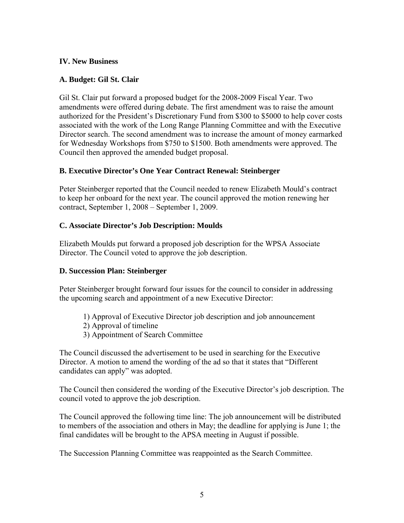#### **IV. New Business**

#### **A. Budget: Gil St. Clair**

Gil St. Clair put forward a proposed budget for the 2008-2009 Fiscal Year. Two amendments were offered during debate. The first amendment was to raise the amount authorized for the President's Discretionary Fund from \$300 to \$5000 to help cover costs associated with the work of the Long Range Planning Committee and with the Executive Director search. The second amendment was to increase the amount of money earmarked for Wednesday Workshops from \$750 to \$1500. Both amendments were approved. The Council then approved the amended budget proposal.

## **B. Executive Director's One Year Contract Renewal: Steinberger**

Peter Steinberger reported that the Council needed to renew Elizabeth Mould's contract to keep her onboard for the next year. The council approved the motion renewing her contract, September 1, 2008 – September 1, 2009.

#### **C. Associate Director's Job Description: Moulds**

Elizabeth Moulds put forward a proposed job description for the WPSA Associate Director. The Council voted to approve the job description.

## **D. Succession Plan: Steinberger**

Peter Steinberger brought forward four issues for the council to consider in addressing the upcoming search and appointment of a new Executive Director:

- 1) Approval of Executive Director job description and job announcement
- 2) Approval of timeline
- 3) Appointment of Search Committee

The Council discussed the advertisement to be used in searching for the Executive Director. A motion to amend the wording of the ad so that it states that "Different candidates can apply" was adopted.

The Council then considered the wording of the Executive Director's job description. The council voted to approve the job description.

The Council approved the following time line: The job announcement will be distributed to members of the association and others in May; the deadline for applying is June 1; the final candidates will be brought to the APSA meeting in August if possible.

The Succession Planning Committee was reappointed as the Search Committee.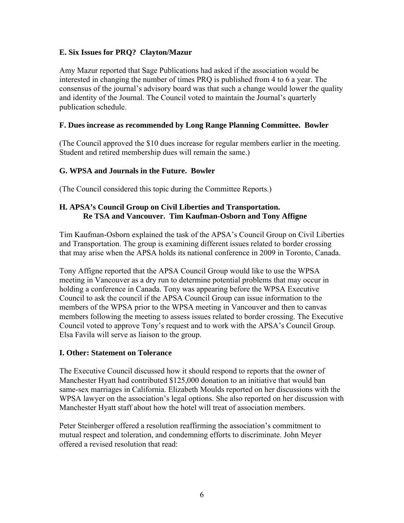# **E. Six Issues for PRQ? Clayton/Mazur**

Amy Mazur reported that Sage Publications had asked if the association would be interested in changing the number of times PRQ is published from 4 to 6 a year. The consensus of the journal's advisory board was that such a change would lower the quality and identity of the Journal. The Council voted to maintain the Journal's quarterly publication schedule.

# **F. Dues increase as recommended by Long Range Planning Committee. Bowler**

(The Council approved the \$10 dues increase for regular members earlier in the meeting. Student and retired membership dues will remain the same.)

# **G. WPSA and Journals in the Future. Bowler**

(The Council considered this topic during the Committee Reports.)

## **H. APSA's Council Group on Civil Liberties and Transportation. Re TSA and Vancouver. Tim Kaufman-Osborn and Tony Affigne**

Tim Kaufman-Osborn explained the task of the APSA's Council Group on Civil Liberties and Transportation. The group is examining different issues related to border crossing that may arise when the APSA holds its national conference in 2009 in Toronto, Canada.

Tony Affigne reported that the APSA Council Group would like to use the WPSA meeting in Vancouver as a dry run to determine potential problems that may occur in holding a conference in Canada. Tony was appearing before the WPSA Executive Council to ask the council if the APSA Council Group can issue information to the members of the WPSA prior to the WPSA meeting in Vancouver and then to canvas members following the meeting to assess issues related to border crossing. The Executive Council voted to approve Tony's request and to work with the APSA's Council Group. Elsa Favila will serve as liaison to the group.

## **I. Other: Statement on Tolerance**

The Executive Council discussed how it should respond to reports that the owner of Manchester Hyatt had contributed \$125,000 donation to an initiative that would ban same-sex marriages in California. Elizabeth Moulds reported on her discussions with the WPSA lawyer on the association's legal options. She also reported on her discussion with Manchester Hyatt staff about how the hotel will treat of association members.

Peter Steinberger offered a resolution reaffirming the association's commitment to mutual respect and toleration, and condemning efforts to discriminate. John Meyer offered a revised resolution that read: